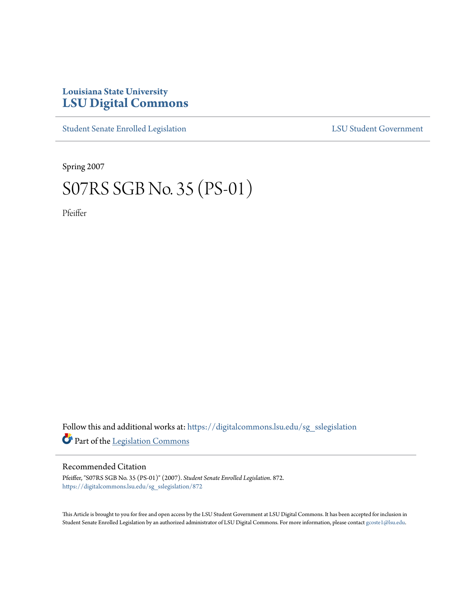## **Louisiana State University [LSU Digital Commons](https://digitalcommons.lsu.edu?utm_source=digitalcommons.lsu.edu%2Fsg_sslegislation%2F872&utm_medium=PDF&utm_campaign=PDFCoverPages)**

[Student Senate Enrolled Legislation](https://digitalcommons.lsu.edu/sg_sslegislation?utm_source=digitalcommons.lsu.edu%2Fsg_sslegislation%2F872&utm_medium=PDF&utm_campaign=PDFCoverPages) [LSU Student Government](https://digitalcommons.lsu.edu/sg?utm_source=digitalcommons.lsu.edu%2Fsg_sslegislation%2F872&utm_medium=PDF&utm_campaign=PDFCoverPages)

Spring 2007

## S07RS SGB No. 35 (PS-01)

Pfeiffer

Follow this and additional works at: [https://digitalcommons.lsu.edu/sg\\_sslegislation](https://digitalcommons.lsu.edu/sg_sslegislation?utm_source=digitalcommons.lsu.edu%2Fsg_sslegislation%2F872&utm_medium=PDF&utm_campaign=PDFCoverPages) Part of the [Legislation Commons](http://network.bepress.com/hgg/discipline/859?utm_source=digitalcommons.lsu.edu%2Fsg_sslegislation%2F872&utm_medium=PDF&utm_campaign=PDFCoverPages)

## Recommended Citation

Pfeiffer, "S07RS SGB No. 35 (PS-01)" (2007). *Student Senate Enrolled Legislation*. 872. [https://digitalcommons.lsu.edu/sg\\_sslegislation/872](https://digitalcommons.lsu.edu/sg_sslegislation/872?utm_source=digitalcommons.lsu.edu%2Fsg_sslegislation%2F872&utm_medium=PDF&utm_campaign=PDFCoverPages)

This Article is brought to you for free and open access by the LSU Student Government at LSU Digital Commons. It has been accepted for inclusion in Student Senate Enrolled Legislation by an authorized administrator of LSU Digital Commons. For more information, please contact [gcoste1@lsu.edu.](mailto:gcoste1@lsu.edu)